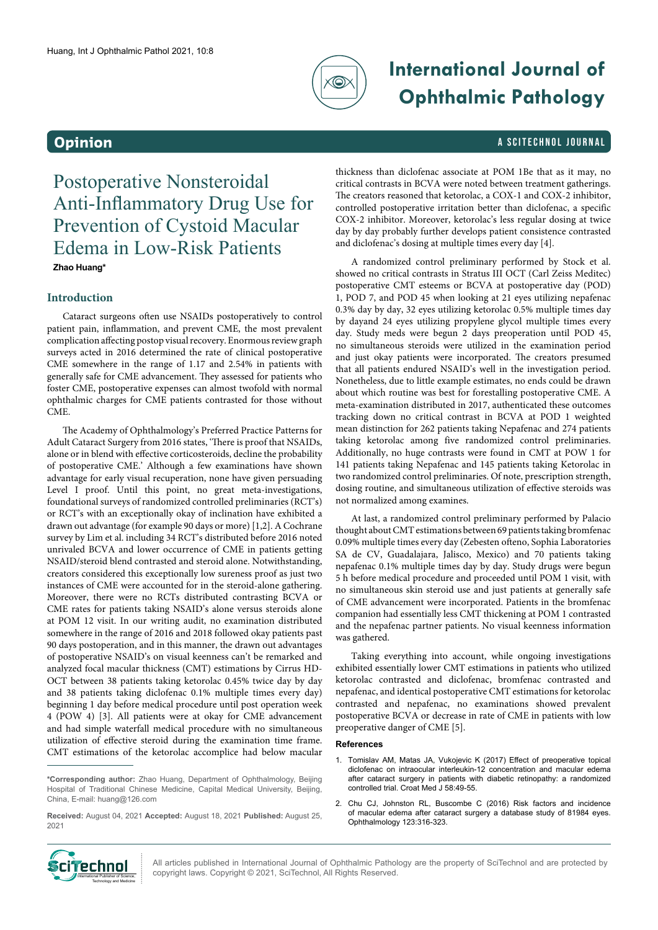

# **International Journal of Ophthalmic Pathology**

### **Opinion** A SCITECHNOL JOURNAL

Postoperative Nonsteroidal Anti-Inflammatory Drug Use for Prevention of Cystoid Macular Edema in Low-Risk Patients **Zhao Huang\***

### **Introduction**

Cataract surgeons often use NSAIDs postoperatively to control patient pain, inflammation, and prevent CME, the most prevalent complication affecting postop visual recovery. Enormous review graph surveys acted in 2016 determined the rate of clinical postoperative CME somewhere in the range of 1.17 and 2.54% in patients with generally safe for CME advancement. They assessed for patients who foster CME, postoperative expenses can almost twofold with normal ophthalmic charges for CME patients contrasted for those without CME.

The Academy of Ophthalmology's Preferred Practice Patterns for Adult Cataract Surgery from 2016 states, 'There is proof that NSAIDs, alone or in blend with effective corticosteroids, decline the probability of postoperative CME.' Although a few examinations have shown advantage for early visual recuperation, none have given persuading Level I proof. Until this point, no great meta-investigations, foundational surveys of randomized controlled preliminaries (RCT's) or RCT's with an exceptionally okay of inclination have exhibited a drawn out advantage (for example 90 days or more) [1,2]. A Cochrane survey by Lim et al. including 34 RCT's distributed before 2016 noted unrivaled BCVA and lower occurrence of CME in patients getting NSAID/steroid blend contrasted and steroid alone. Notwithstanding, creators considered this exceptionally low sureness proof as just two instances of CME were accounted for in the steroid-alone gathering. Moreover, there were no RCTs distributed contrasting BCVA or CME rates for patients taking NSAID's alone versus steroids alone at POM 12 visit. In our writing audit, no examination distributed somewhere in the range of 2016 and 2018 followed okay patients past 90 days postoperation, and in this manner, the drawn out advantages of postoperative NSAID's on visual keenness can't be remarked and analyzed focal macular thickness (CMT) estimations by Cirrus HD-OCT between 38 patients taking ketorolac 0.45% twice day by day and 38 patients taking diclofenac 0.1% multiple times every day) beginning 1 day before medical procedure until post operation week 4 (POW 4) [3]. All patients were at okay for CME advancement and had simple waterfall medical procedure with no simultaneous utilization of effective steroid during the examination time frame. CMT estimations of the ketorolac accomplice had below macular thickness than diclofenac associate at POM 1Be that as it may, no critical contrasts in BCVA were noted between treatment gatherings. The creators reasoned that ketorolac, a COX-1 and COX-2 inhibitor, controlled postoperative irritation better than diclofenac, a specific COX-2 inhibitor. Moreover, ketorolac's less regular dosing at twice day by day probably further develops patient consistence contrasted and diclofenac's dosing at multiple times every day [4].

A randomized control preliminary performed by Stock et al. showed no critical contrasts in Stratus III OCT (Carl Zeiss Meditec) postoperative CMT esteems or BCVA at postoperative day (POD) 1, POD 7, and POD 45 when looking at 21 eyes utilizing nepafenac 0.3% day by day, 32 eyes utilizing ketorolac 0.5% multiple times day by dayand 24 eyes utilizing propylene glycol multiple times every day. Study meds were begun 2 days preoperation until POD 45, no simultaneous steroids were utilized in the examination period and just okay patients were incorporated. The creators presumed that all patients endured NSAID's well in the investigation period. Nonetheless, due to little example estimates, no ends could be drawn about which routine was best for forestalling postoperative CME. A meta-examination distributed in 2017, authenticated these outcomes tracking down no critical contrast in BCVA at POD 1 weighted mean distinction for 262 patients taking Nepafenac and 274 patients taking ketorolac among five randomized control preliminaries. Additionally, no huge contrasts were found in CMT at POW 1 for 141 patients taking Nepafenac and 145 patients taking Ketorolac in two randomized control preliminaries. Of note, prescription strength, dosing routine, and simultaneous utilization of effective steroids was not normalized among examines.

At last, a randomized control preliminary performed by Palacio thought about CMT estimations between 69 patients taking bromfenac 0.09% multiple times every day (Zebesten ofteno, Sophia Laboratories SA de CV, Guadalajara, Jalisco, Mexico) and 70 patients taking nepafenac 0.1% multiple times day by day. Study drugs were begun 5 h before medical procedure and proceeded until POM 1 visit, with no simultaneous skin steroid use and just patients at generally safe of CME advancement were incorporated. Patients in the bromfenac companion had essentially less CMT thickening at POM 1 contrasted and the nepafenac partner patients. No visual keenness information was gathered.

Taking everything into account, while ongoing investigations exhibited essentially lower CMT estimations in patients who utilized ketorolac contrasted and diclofenac, bromfenac contrasted and nepafenac, and identical postoperative CMT estimations for ketorolac contrasted and nepafenac, no examinations showed prevalent postoperative BCVA or decrease in rate of CME in patients with low preoperative danger of CME [5].

#### **References**

- 1. Tomislav AM, Matas JA, Vukojevic K (2017) Effect of preoperative topical diclofenac on intraocular interleukin-12 concentration and macular edema after cataract surgery in patients with diabetic retinopathy: a randomized controlled trial. Croat Med J 58:49-55.
- 2. Chu CJ, Johnston RL, Buscombe C (2016) Risk factors and incidence of macular edema after cataract surgery a database study of 81984 eyes. Ophthalmology 123:316-323.



All articles published in International Journal of Ophthalmic Pathology are the property of SciTechnol and are protected by **TEChnoL** All articles published in International Journal of Ophthalmic Pathol<br>International Publisher of Science, copyright laws. Copyright © 2021, SciTechnol, All Rights Reserved.

**<sup>\*</sup>Corresponding author:** Zhao Huang, Department of Ophthalmology, Beijing Hospital of Traditional Chinese Medicine, Capital Medical University, Beijing, China, E-mail: [huang@126.com](mailto:huang@126.com)

**Received:** August 04, 2021 **Accepted:** August 18, 2021 **Published:** August 25, 2021